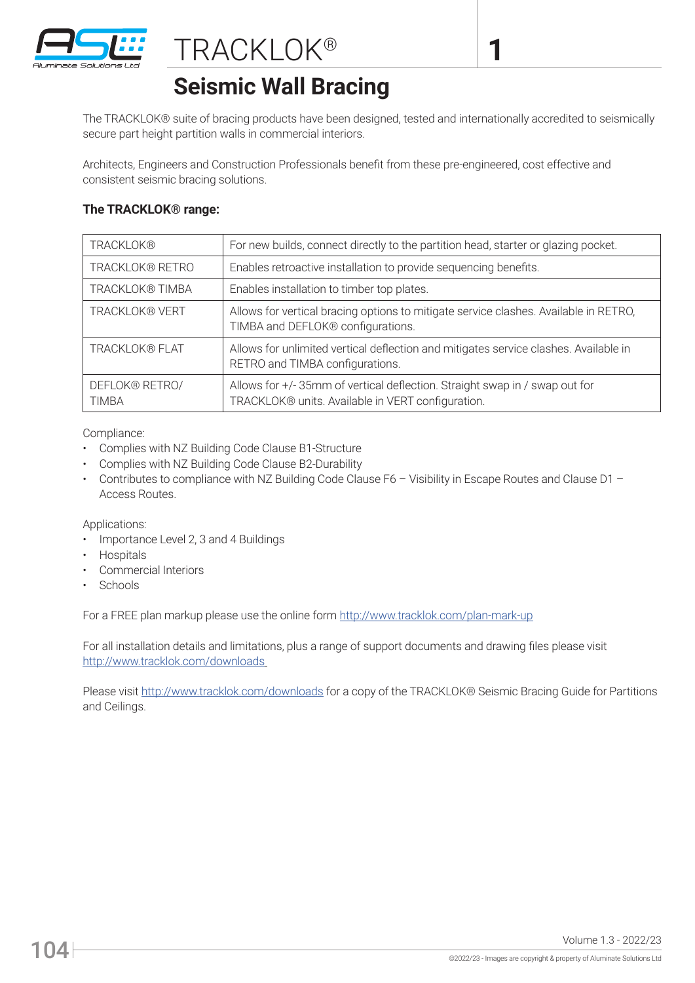

## **Seismic Wall Bracing**

The TRACKLOK® suite of bracing products have been designed, tested and internationally accredited to seismically secure part height partition walls in commercial interiors.

**1**

Architects, Engineers and Construction Professionals benefit from these pre-engineered, cost effective and consistent seismic bracing solutions.

## **The TRACKLOK® range:**

| <b>TRACKLOK®</b>               | For new builds, connect directly to the partition head, starter or glazing pocket.                                              |
|--------------------------------|---------------------------------------------------------------------------------------------------------------------------------|
| TRACKLOK® RETRO                | Enables retroactive installation to provide sequencing benefits.                                                                |
| <b>TRACKLOK® TIMBA</b>         | Enables installation to timber top plates.                                                                                      |
| <b>TRACKLOK® VERT</b>          | Allows for vertical bracing options to mitigate service clashes. Available in RETRO,<br>TIMBA and DEFLOK® configurations.       |
| TRACKLOK® FLAT                 | Allows for unlimited vertical deflection and mitigates service clashes. Available in<br>RETRO and TIMBA configurations.         |
| DEFLOK® RETRO/<br><b>TIMBA</b> | Allows for +/-35mm of vertical deflection. Straight swap in / swap out for<br>TRACKLOK® units. Available in VERT configuration. |

Compliance:

- Complies with NZ Building Code Clause B1-Structure
- Complies with NZ Building Code Clause B2-Durability
- Contributes to compliance with NZ Building Code Clause F6 Visibility in Escape Routes and Clause D1 -Access Routes.

Applications:

- Importance Level 2, 3 and 4 Buildings
- **Hospitals**
- Commercial Interiors
- Schools

For a FREE plan markup please use the online form http://www.tracklok.com/plan-mark-up

For all installation details and limitations, plus a range of support documents and drawing files please visit http://www.tracklok.com/downloads

Please visit http://www.tracklok.com/downloads for a copy of the TRACKLOK® Seismic Bracing Guide for Partitions and Ceilings.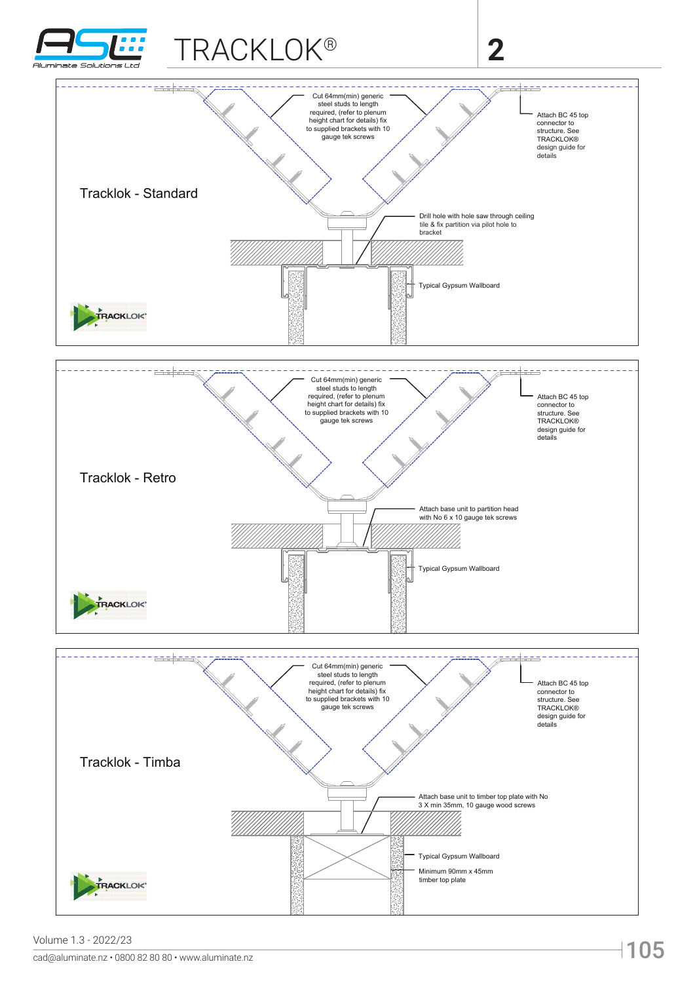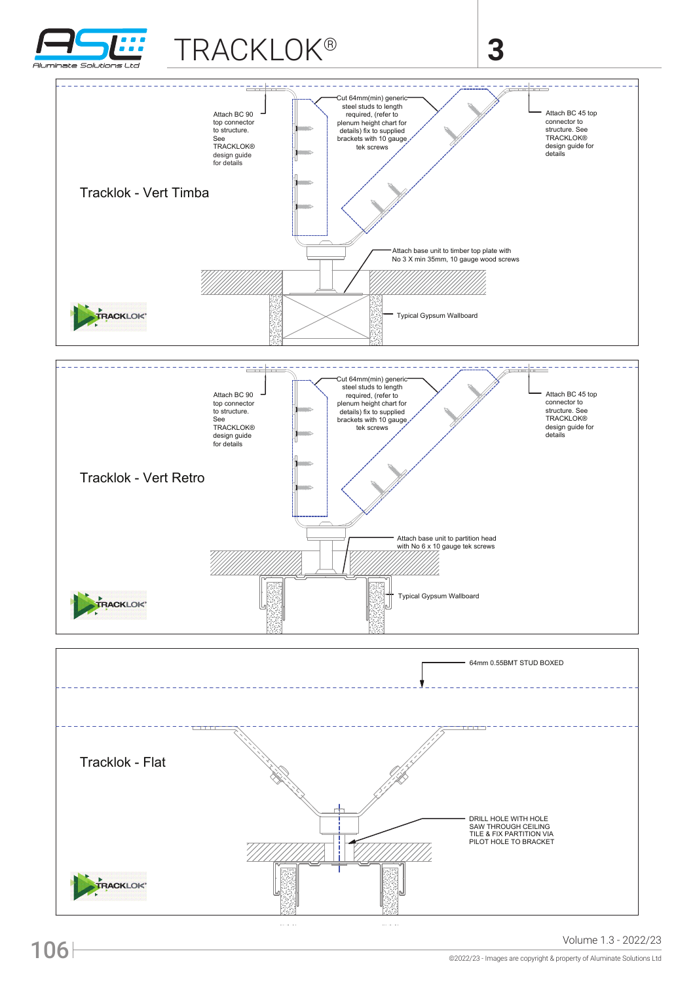

## TRACKLOK®

## **3**